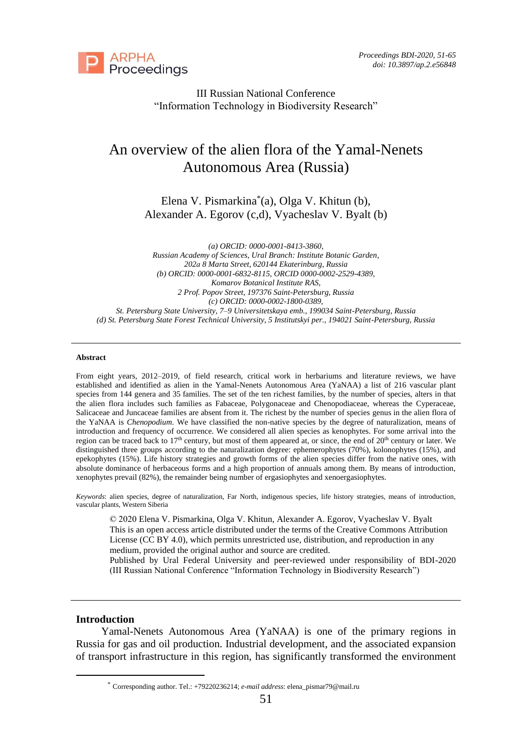

III Russian National Conference "Information Technology in Biodiversity Research"

# An overview of the alien flora of the Yamal-Nenets Autonomous Area (Russia)

Elena V. Pismarkina\* (a), Olga V. Khitun (b), Alexander A. Egorov (c,d), Vyacheslav V. Byalt (b)

*(a) ORCID: 0000-0001-8413-3860, Russian Academy of Sciences, Ural Branch: Institute Botanic Garden, 202а 8 Marta Street, 620144 Ekaterinburg, Russia (b) ORCID: 0000-0001-6832-8115, ORCID 0000-0002-2529-4389, Komarov Botanical Institute RAS, 2 Prof. Popov Street, 197376 Saint-Petersburg, Russia (c) ORCID: 0000-0002-1800-0389, St. Petersburg State University, 7–9 Universitetskaya emb., 199034 Saint-Petersburg, Russia (d) St. Petersburg State Forest Technical University, 5 Institutskyi per., 194021 Saint-Petersburg, Russia*

#### **Abstract**

From eight years, 2012–2019, of field research, critical work in herbariums and literature reviews, we have established and identified as alien in the Yamal-Nenets Autonomous Area (YaNAA) a list of 216 vascular plant species from 144 genera and 35 families. The set of the ten richest families, by the number of species, alters in that the alien flora includes such families as Fabaceae, Polygonaceae and Chenopodiaceae, whereas the Cyperaceae, Salicaceae and Juncaceae families are absent from it. The richest by the number of species genus in the alien flora of the YaNAA is *Chenopodium*. We have classified the non-native species by the degree of naturalization, means of introduction and frequency of occurrence. We considered all alien species as kenophytes. For some arrival into the region can be traced back to  $17<sup>th</sup>$  century, but most of them appeared at, or since, the end of  $20<sup>th</sup>$  century or later. We distinguished three groups according to the naturalization degree: ephemerophytes (70%), kolonophytes (15%), and epekophytes (15%). Life history strategies and growth forms of the alien species differ from the native ones, with absolute dominance of herbaceous forms and a high proportion of annuals among them. By means of introduction, xenophytes prevail (82%), the remainder being number of ergasiophytes and xenoergasiophytes.

*Keywords*: alien species, degree of naturalization, Far North, indigenous species, life history strategies, means of introduction, vascular plants, Western Siberia

© 2020 Elena V. Pismarkina, Olga V. Khitun, Alexander A. Egorov, Vyacheslav V. Byalt This is an open access article distributed under the terms of the Creative Commons Attribution License (CC BY 4.0), which permits unrestricted use, distribution, and reproduction in any medium, provided the original author and source are credited.

Published by Ural Federal University and peer-reviewed under responsibility of BDI-2020 (III Russian National Conference "Information Technology in Biodiversity Research")

#### **Introduction**

Yamal-Nenets Autonomous Area (YaNAA) is one of the primary regions in Russia for gas and oil production. Industrial development, and the associated expansion of transport infrastructure in this region, has significantly transformed the environment

<sup>\*</sup> Corresponding author. Tel.: +79220236214; *e-mail address*: elena\_pismar79@mail.ru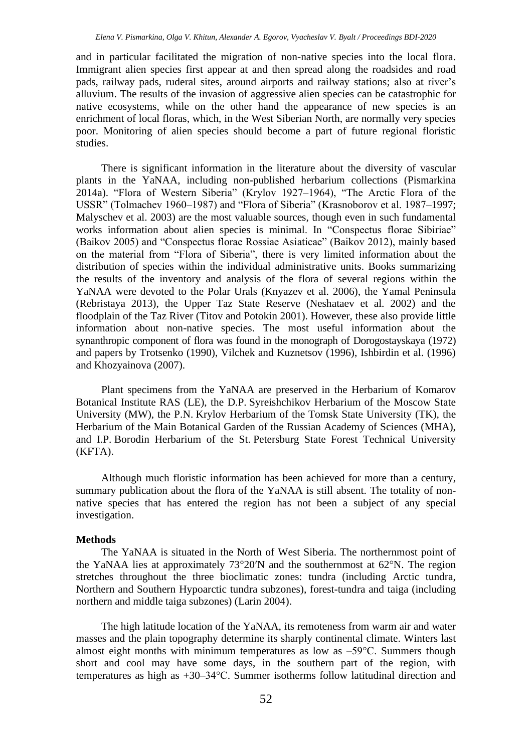and in particular facilitated the migration of non-native species into the local flora. Immigrant alien species first appear at and then spread along the roadsides and road pads, railway pads, ruderal sites, around airports and railway stations; also at river's alluvium. The results of the invasion of aggressive alien species can be catastrophic for native ecosystems, while on the other hand the appearance of new species is an enrichment of local floras, which, in the West Siberian North, are normally very species poor. Monitoring of alien species should become a part of future regional floristic studies.

There is significant information in the literature about the diversity of vascular plants in the YaNAA, including non-published herbarium collections (Pismarkina 2014a). "Flora of Western Siberia" (Krylov 1927–1964), "The Arctic Flora of the USSR" (Tolmachev 1960–1987) and "Flora of Siberia" (Krasnoborov et al. 1987–1997; Malyschev et al. 2003) are the most valuable sources, though even in such fundamental works information about alien species is minimal. In "Conspectus florae Sibiriae" (Baikov 2005) and "Conspectus florae Rossiae Asiaticae" (Baikov 2012), mainly based on the material from "Flora of Siberia", there is very limited information about the distribution of species within the individual administrative units. Books summarizing the results of the inventory and analysis of the flora of several regions within the YaNAA were devoted to the Polar Urals (Knyazev et al. 2006), the Yamal Peninsula (Rebristaya 2013), the Upper Taz State Reserve (Neshataev et al. 2002) and the floodplain of the Taz River (Titov and Potokin 2001). However, these also provide little information about non-native species. The most useful information about the synanthropic component of flora was found in the monograph of Dorogostayskaya (1972) and papers by Trotsenko (1990), Vilchek and Kuznetsov (1996), Ishbirdin et al. (1996) and Khozyainova (2007).

Plant specimens from the YaNAA are preserved in the Herbarium of Komarov Botanical Institute RAS (LE), the D.P. Syreishchikov Herbarium of the Moscow State University (MW), the P.N. Krylov Herbarium of the Tomsk State University (TK), the Herbarium of the Main Botanical Garden of the Russian Academy of Sciences (MHA), and I.P. Borodin Herbarium of the St. Petersburg State Forest Technical University (KFTA).

Although much floristic information has been achieved for more than a century, summary publication about the flora of the YaNAA is still absent. The totality of nonnative species that has entered the region has not been a subject of any special investigation.

# **Methods**

The YaNAA is situated in the North of West Siberia. The northernmost point of the YaNAA lies at approximately 73°20′N and the southernmost at 62°N. The region stretches throughout the three bioclimatic zones: tundra (including Arctic tundra, Northern and Southern Hypoarctic tundra subzones), forest-tundra and taiga (including northern and middle taiga subzones) (Larin 2004).

The high latitude location of the YaNAA, its remoteness from warm air and water masses and the plain topography determine its sharply continental climate. Winters last almost eight months with minimum temperatures as low as  $-59^{\circ}$ C. Summers though short and cool may have some days, in the southern part of the region, with temperatures as high as +30–34°С. Summer isotherms follow latitudinal direction and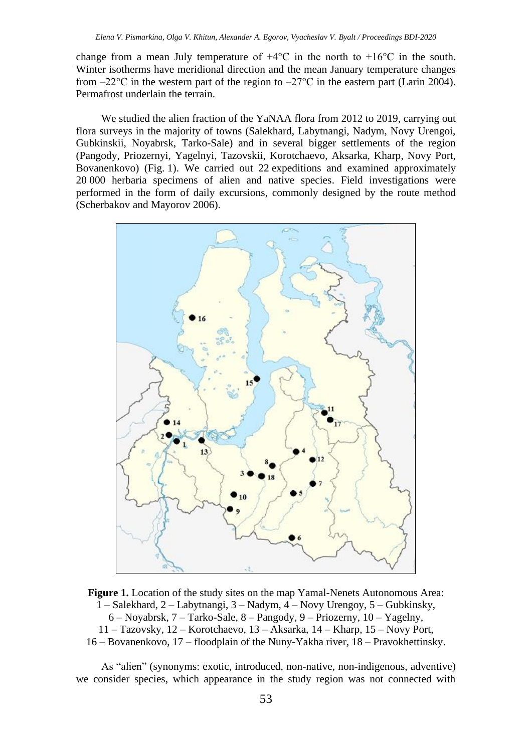change from a mean July temperature of  $+4^{\circ}$ C in the north to  $+16^{\circ}$ C in the south. Winter isotherms have meridional direction and the mean January temperature changes from  $-22^{\circ}\text{C}$  in the western part of the region to  $-27^{\circ}\text{C}$  in the eastern part (Larin 2004). Permafrost underlain the terrain.

We studied the alien fraction of the YaNAA flora from 2012 to 2019, carrying out flora surveys in the majority of towns (Salekhard, Labytnangi, Nadym, Novy Urengoi, Gubkinskii, Noyabrsk, Tarko-Sale) and in several bigger settlements of the region (Pangody, Priozernyi, Yagelnyi, Tazovskii, Korotchaevo, Aksarka, Kharp, Novy Port, Bovanenkovo) (Fig. 1). We carried out 22 expeditions and examined approximately 20 000 herbaria specimens of alien and native species. Field investigations were performed in the form of daily excursions, commonly designed by the route method (Scherbakov and Mayorov 2006).



**Figure 1.** Location of the study sites on the map Yamal-Nenets Autonomous Area: 1 – Salekhard, 2 – Labytnangi, 3 – Nadym, 4 – Novy Urengoy, 5 – Gubkinsky, 6 – Noyabrsk, 7 – Tarko-Sale, 8 – Pangody, 9 – Priozerny, 10 – Yagelny, 11 – Tazovsky, 12 – Korotchaevo, 13 – Aksarka, 14 – Kharp, 15 – Novy Port, 16 – Bovanenkovo, 17 – floodplain of the Nuny-Yakha river, 18 – Pravokhettinsky.

As "alien" (synonyms: exotic, introduced, non-native, non-indigenous, adventive) we consider species, which appearance in the study region was not connected with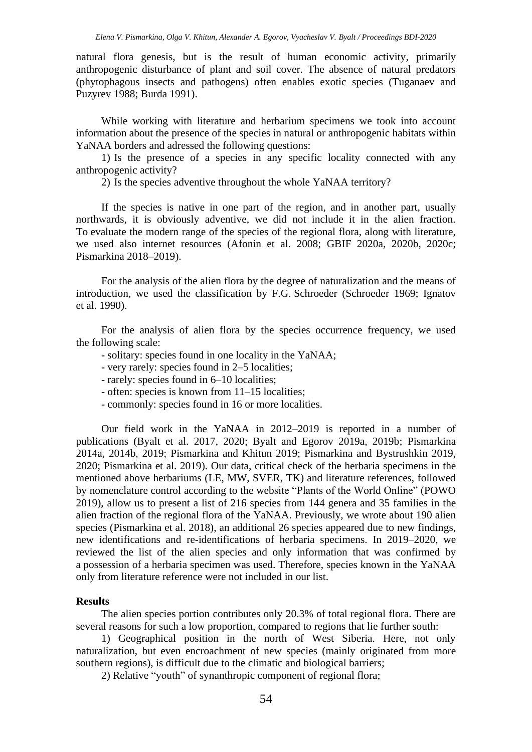natural flora genesis, but is the result of human economic activity, primarily anthropogenic disturbance of plant and soil cover. The absence of natural predators (phytophagous insects and pathogens) often enables exotic species (Tuganaev and Puzyrev 1988; Burda 1991).

While working with literature and herbarium specimens we took into account information about the presence of the species in natural or anthropogenic habitats within YaNAA borders and adressed the following questions:

1) Is the presence of a species in any specific locality connected with any anthropogenic activity?

2) Is the species adventive throughout the whole YaNAA territory?

If the species is native in one part of the region, and in another part, usually northwards, it is obviously adventive, we did not include it in the alien fraction. To evaluate the modern range of the species of the regional flora, along with literature, we used also internet resources (Afonin et al. 2008; GBIF 2020a, 2020b, 2020c; Pismarkina 2018–2019).

For the analysis of the alien flora by the degree of naturalization and the means of introduction, we used the classification by F.G. Schroeder (Schroeder 1969; Ignatov et al. 1990).

For the analysis of alien flora by the species occurrence frequency, we used the following scale:

- solitary: species found in one locality in the YaNAA;
- very rarely: species found in 2–5 locаlities;
- rarely: species found in 6–10 localities;
- often: species is known from 11–15 localities;
- commonly: species found in 16 or more localities.

Our field work in the YaNAA in 2012–2019 is reported in a number of publications (Byalt et al. 2017, 2020; Byalt and Egorov 2019a, 2019b; Pismarkina 2014a, 2014b, 2019; Pismarkina and Khitun 2019; Pismarkina and Bystrushkin 2019, 2020; Pismarkina et al. 2019). Our data, critical check of the herbaria specimens in the mentioned above herbariums (LE, MW, SVER, TK) and literature references, followed by nomenclature control according to the website "Plants of the World Online" (POWO 2019), allow us to present a list of 216 species from 144 genera and 35 families in the alien fraction of the regional flora of the YaNAA. Previously, we wrote about 190 alien species (Pismarkina et al. 2018), an additional 26 species appeared due to new findings, new identifications and re-identifications of herbaria specimens. In 2019–2020, we reviewed the list of the alien species and only information that was confirmed by a possession of a herbaria specimen was used. Therefore, species known in the YaNAA only from literature reference were not included in our list.

### **Results**

The alien species portion contributes only 20.3% of total regional flora. There are several reasons for such a low proportion, compared to regions that lie further south:

1) Geographical position in the north of West Siberia. Here, not only naturalization, but even encroachment of new species (mainly originated from more southern regions), is difficult due to the climatic and biological barriers;

2) Relative "youth" of synanthropic component of regional flora;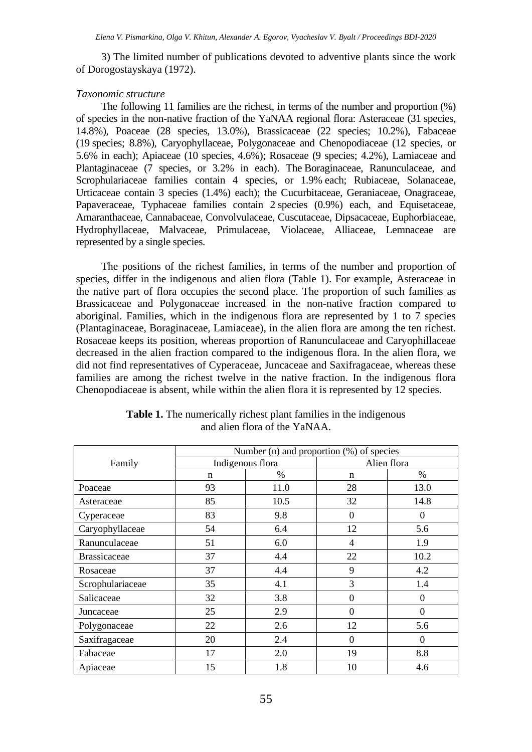3) The limited number of publications devoted to adventive plants since the work of Dorogostayskaya (1972).

### *Taxonomic structure*

The following 11 families are the richest, in terms of the number and proportion (%) of species in the non-native fraction of the YaNAA regional flora: Asteraceae (31 species, 14.8%), Poaceae (28 species, 13.0%), Brassicaceae (22 species; 10.2%), Fabaceae (19 species; 8.8%), Caryophyllaceae, Polygonaceae and Chenopodiaceae (12 species, or 5.6% in each); Apiaceae (10 species, 4.6%); Rosaceae (9 species; 4.2%), Lamiaceae and Plantaginaceae (7 species, or 3.2% in each). The Boraginaceae, Ranunculaceae, and Scrophulariaceae families contain 4 species, or 1.9% each; Rubiaceae, Solanaceae, Urticaceae contain 3 species (1.4%) each); the Cucurbitaceae, Geraniaceae, Onagraceae, Papaveraceae, Typhaceae families contain 2 species (0.9%) each, and Equisetaceae, Amaranthaceae, Cannabaceae, Convolvulaceae, Cuscutaceae, Dipsacaceae, Euphorbiaceae, Hydrophyllaceae, Malvaceae, Primulaceae, Violaceae, Alliaceae, Lemnaceae are represented by a single species.

The positions of the richest families, in terms of the number and proportion of species, differ in the indigenous and alien flora (Table 1). For example, Asteraceae in the native part of flora occupies the second place. The proportion of such families as Brassicaceae and Polygonaceae increased in the non-native fraction compared to aboriginal. Families, which in the indigenous flora are represented by 1 to 7 species (Plantaginaceae, Boraginaceae, Lamiaceae), in the alien flora are among the ten richest. Rosaceae keeps its position, whereas proportion of Ranunculaceae and Caryophillaceae decreased in the alien fraction compared to the indigenous flora. In the alien flora, we did not find representatives of Cyperaceae, Juncaceae and Saxifragaceae, whereas these families are among the richest twelve in the native fraction. In the indigenous flora Chenopodiaceae is absent, while within the alien flora it is represented by 12 species.

|                     | Number (n) and proportion (%) of species |      |                  |                  |
|---------------------|------------------------------------------|------|------------------|------------------|
| Family              | Indigenous flora                         |      | Alien flora      |                  |
|                     | n                                        | $\%$ | n                | $\%$             |
| Poaceae             | 93                                       | 11.0 | 28               | 13.0             |
| Asteraceae          | 85                                       | 10.5 | 32               | 14.8             |
| Cyperaceae          | 83                                       | 9.8  | $\Omega$         | $\Omega$         |
| Caryophyllaceae     | 54                                       | 6.4  | 12               | 5.6              |
| Ranunculaceae       | 51                                       | 6.0  | 4                | 1.9              |
| <b>Brassicaceae</b> | 37                                       | 4.4  | 22               | 10.2             |
| Rosaceae            | 37                                       | 4.4  | 9                | 4.2              |
| Scrophulariaceae    | 35                                       | 4.1  | 3                | 1.4              |
| Salicaceae          | 32                                       | 3.8  | $\boldsymbol{0}$ | $\boldsymbol{0}$ |
| Juncaceae           | 25                                       | 2.9  | $\theta$         | $\boldsymbol{0}$ |
| Polygonaceae        | 22                                       | 2.6  | 12               | 5.6              |
| Saxifragaceae       | 20                                       | 2.4  | $\boldsymbol{0}$ | $\boldsymbol{0}$ |
| Fabaceae            | 17                                       | 2.0  | 19               | 8.8              |
| Apiaceae            | 15                                       | 1.8  | 10               | 4.6              |

**Table 1.** The numerically richest plant families in the indigenous and alien flora of the YaNAA.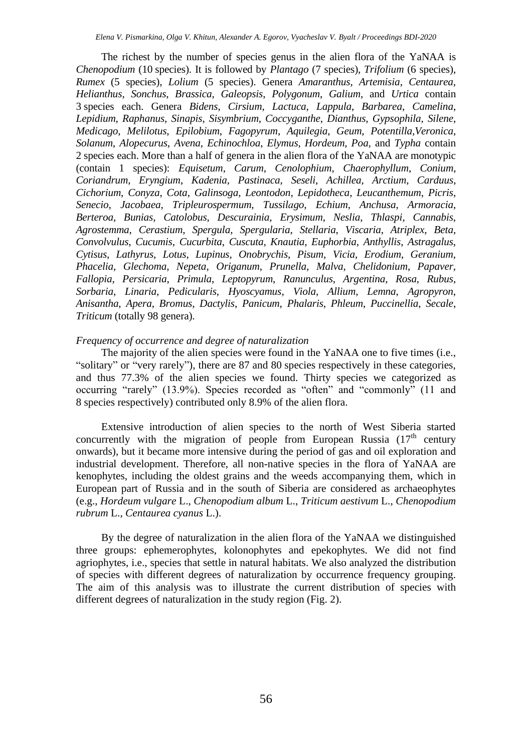The richest by the number of species genus in the alien flora of the YaNAA is *Chenopodium* (10 species). It is followed by *Plantago* (7 species), *Trifolium* (6 species), *Rumex* (5 species), *Lolium* (5 species). Genera *Amaranthus*, *Artemisia*, *Centaurea*, *Helianthus*, *Sonchus*, *Brassica*, *Galeopsis*, *Polygonum*, *Galium*, and *Urtica* contain 3 species each. Genera *Bidens*, *Cirsium*, *Lactuca*, *Lappula*, *Barbarea*, *Camelina*, *Lepidium*, *Raphanus*, *Sinapis*, *Sisymbrium*, *Coccyganthe*, *Dianthus*, *Gypsophila, Silene*, *Medicago*, *Melilotus*, *Epilobium*, *Fagopyrum*, *Aquilegia*, *Geum*, *Potentilla,Veronica*, *Solanum*, *Alopecurus*, *Avena*, *Echinochloa*, *Elymus, Hordeum*, *Poa,* and *Typha* contain 2 species each. More than a half of genera in the alien flora of the YaNAA are monotypic (contain 1 species): *Equisetum*, *Carum*, *Cenolophium*, *Chaerophyllum*, *Conium*, *Coriandrum*, *Eryngium*, *Kadenia*, *Pastinaca*, *Seseli*, *Achillea*, *Arctium*, *Carduus*, *Cichorium*, *Conyza*, *Cota*, *Galinsoga*, *Leontodon*, *Lepidotheca*, *Leucanthemum*, *Picris*, *Senecio*, *Jacobaea*, *Tripleurospermum*, *Tussilаgo*, *Echium*, *Anchusa*, *Armoracia*, *Berteroa*, *Bunias*, *Catolobus*, *Descurainia*, *Erysimum*, *Neslia*, *Thlaspi*, *Cannabis*, *Agrostemma*, *Cerastium*, *Spergula*, *Spergularia*, *Stellaria*, *Viscaria*, *Atriplex*, *Beta*, *Convolvulus*, *Cucumis*, *Cucurbita*, *Cuscuta*, *Knautia*, *Euphorbia*, *Anthyllis*, *Astragalus*, *Cytisus*, *Lathyrus*, *Lotus*, *Lupinus*, *Onobrychis*, *Pisum*, *Vicia*, *Erodium*, *Geranium*, *Phacelia*, *Glechoma*, *Nepeta*, *Origanum*, *Prunella*, *Malva*, *Chelidonium*, *Papaver*, *Fallopia*, *Persicaria*, *Primula*, *Leptopyrum*, *Ranunculus*, *Argentina*, *Rosa*, *Rubus*, *Sorbaria*, *Linaria*, *Pedicularis*, *Hyoscyamus*, *Viola*, *Allium*, *Lemna*, *Agropyron*, *Anisantha*, *Apera*, *Bromus*, *Dactylis*, *Panicum*, *Phalaris*, *Phleum*, *Puccinellia*, *Secale*, *Triticum* (totally 98 genera).

#### *Frequency of occurrence and degree of naturalization*

The majority of the alien species were found in the YaNAA one to five times (i.e., "solitary" or "very rarely"), there are 87 and 80 species respectively in these categories, and thus 77.3% of the alien species we found. Thirty species we categorized as occurring "rarely" (13.9%). Species recorded as "often" and "commonly" (11 and 8 species respectively) contributed only 8.9% of the alien flora.

Extensive introduction of alien species to the north of West Siberia started concurrently with the migration of people from European Russia  $(17<sup>th</sup>$  century onwards), but it became more intensive during the period of gas and oil exploration and industrial development. Therefore, all non-native species in the flora of YaNAA are kenophytes, including the oldest grains and the weeds accompanying them, which in European part of Russia and in the south of Siberia are considered as archaeophytes (e.g., *Hordeum vulgare* L., *Chenopodium album* L., *Triticum aestivum* L., *Chenopodium rubrum* L., *Centaurea cyanus* L.).

By the degree of naturalization in the alien flora of the YaNAA we distinguished three groups: ephemerophytes, kolonophytes and epekophytes. We did not find agriophytes, i.e., species that settle in natural habitats. We also analyzed the distribution of species with different degrees of naturalization by occurrence frequency grouping. The aim of this analysis was to illustrate the current distribution of species with different degrees of naturalization in the study region (Fig. 2).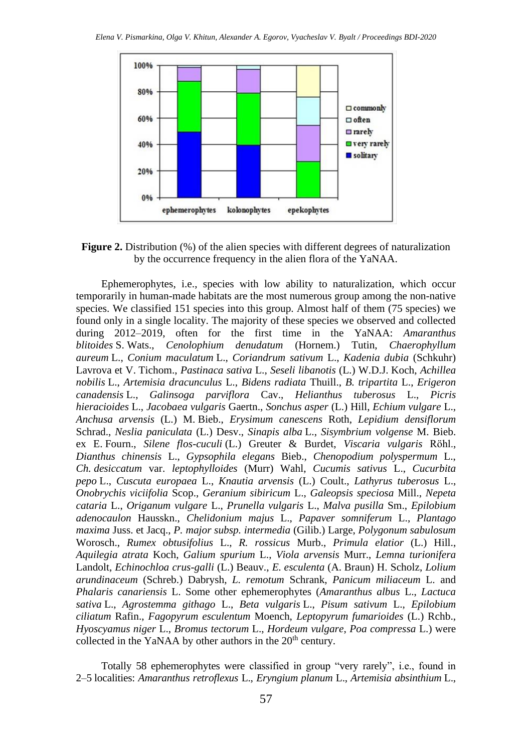

**Figure 2.** Distribution (%) of the alien species with different degrees of naturalization by the occurrence frequency in the alien flora of the YaNAA.

Ephemerophytes, i.e., species with low ability to naturalization, which occur temporarily in human-made habitats are the most numerous group among the non-native species. We classified 151 species into this group. Almost half of them (75 species) we found only in a single locality. The majority of these species we observed and collected during 2012–2019, often for the first time in the YaNAA: *Amaranthus blitoides* S. Wats., *Cenolophium denudatum* (Hornem.) Tutin, *Chaerophyllum aureum* L., *Conium maculatum* L., *Coriandrum sativum* L., *Kadenia dubia* (Schkuhr) Lavrova et V. Tichom., *Pastinaca sativa* L., *Seseli libanotis* (L.) W.D.J. Koch, *Achillea nobilis* L., *Artemisia dracunculus* L., *Bidens radiata* Thuill., *B. tripartita* L., *Erigeron canadensis* L., *Galinsoga parviflora* Cav., *Helianthus tuberosus* L., *Picris hieracioides* L., *Jacobaea vulgaris* Gaertn., *Sonchus asper* (L.) Hill, *Echium vulgare* L., *Anchusa arvensis* (L.) M. Bieb., *Erysimum canescens* Roth, *Lepidium densiflorum* Schrad., *Neslia paniculata* (L.) Desv., *Sinapis alba* L., *Sisymbrium volgense* M. Bieb. ex E. Fourn., *Silene flos-cuculi* (L.) Greuter & Burdet, *Viscaria vulgaris* Röhl., *Dianthus chinensis* L., *Gypsophila elegans* Bieb., *Chenopodium polyspermum* L., *Ch. desiccatum* var. *leptophylloides* (Murr) Wahl, *Cucumis sativus* L., *Cucurbita pepo* L., *Cuscuta europaea* L., *Knautia arvensis* (L.) Coult., *Lathyrus tuberosus* L., *Onobrychis viciifolia* Scop., *Geranium sibiricum* L., *Galeopsis speciosa* Mill., *Nepeta cataria* L., *Origanum vulgare* L., *Prunella vulgaris* L., *Malva pusilla* Sm., *Epilobium adenocaulon* Hausskn., *Chelidonium majus* L., *Papaver somniferum* L., *Plantago maxima* Juss. et Jacq., *P. major subsp. intermedia* (Gilib.) Large, *Polygonum sabulosum* Worosch., *Rumex obtusifolius* L., *R. rossicus* Murb., *Primula elatior* (L.) Hill., *Aquilegia atrata* Koch, *Galium spurium* L., *Viola arvensis* Murr., *Lemna turionifera* Landolt, *Echinochloa crus-galli* (L.) Beauv., *E. esculenta* (A. Braun) H. Scholz, *Lolium arundinaceum* (Schreb.) Dabrysh, *L. remotum* Schrank, *Panicum miliaceum* L. and *Phalaris canariensis* L. Some other ephemerophytes (*Amaranthus albus* L., *Lactuca sativa* L., *Agrostemma githago* L., *Beta vulgaris* L., *Pisum sativum* L., *Epilobium ciliatum* Rafin., *Fagopyrum esculentum* Moench, *Leptopyrum fumarioides* (L.) Rchb., *Hyoscyamus niger* L., *Bromus tectorum* L., *Hordeum vulgare*, *Poa compressa* L.) were collected in the YaNAA by other authors in the  $20<sup>th</sup>$  century.

Totally 58 ephemerophytes were classified in group "very rarely", i.e., found in 2–5 localities: *Amaranthus retroflexus* L., *Eryngium planum* L., *Artemisia absinthium* L.,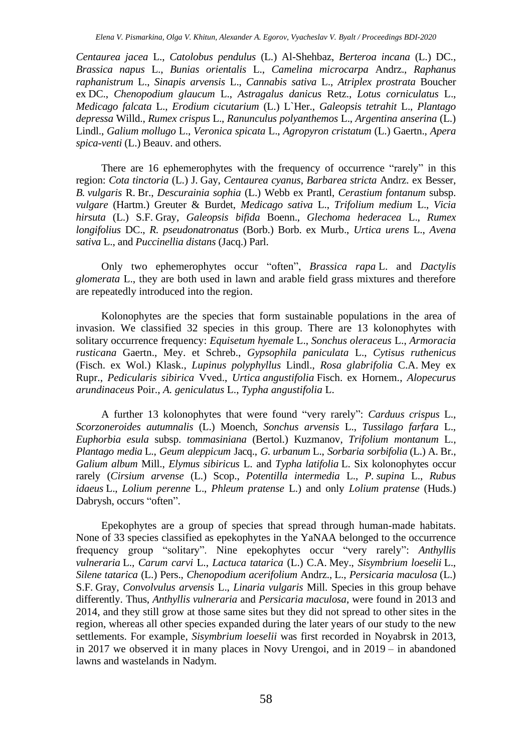*Centaurea jacea* L., *Catolobus pendulus* (L.) Al-Shehbaz, *Berteroa incana* (L.) DC., *Brassica napus* L., *Bunias orientalis* L., *Camelina microcarpa* Andrz., *Raphanus raphanistrum* L., *Sinapis arvensis* L., *Cannabis sativa* L., *Atriplex prostrata* Boucher ex DC., *Chenopodium glaucum* L., *Astragalus danicus* Retz., *Lotus corniculatus* L., *Medicago falcata* L., *Erodium cicutarium* (L.) L`Her., *Galeopsis tetrahit* L., *Plantago depressa* Willd., *Rumex crispus* L., *Ranunculus polyanthemos* L., *Argentina anserina* (L.) Lindl., *Galium mollugo* L., *Veronica spicata* L., *Agropyron cristatum* (L.) Gaertn., *Apera spica-venti* (L.) Beauv. and others.

There are 16 ephemerophytes with the frequency of occurrence "rarely" in this region: *Cota tinctoria* (L.) J. Gay, *Centaurea cyanus*, *Barbarea stricta* Andrz. ex Besser, *B. vulgaris* R. Br., *Descurainia sophia* (L.) Webb ex Prantl, *Cerastium fontanum* subsp. *vulgare* (Hartm.) Greuter & Burdet, *Medicago sativa* L., *Trifolium medium* L., *Vicia hirsuta* (L.) S.F. Gray, *Galeopsis bifida* Boenn., *Glechoma hederacea* L., *Rumex longifolius* DC., *R. pseudonatronatus* (Borb.) Borb. ex Murb., *Urtica urens* L., *Avena sativa* L., and *Puccinellia distans* (Jacq.) Parl.

Only two ephemerophytes occur "often", *Brassica rapa* L. and *Dactylis glomerata* L., they are both used in lawn and arable field grass mixtures and therefore are repeatedly introduced into the region.

Kolonophytes are the species that form sustainable populations in the area of invasion. We classified 32 species in this group. There are 13 kolonophytes with solitary occurrence frequency: *Equisetum hyemale* L., *Sonchus oleraceus* L., *Armoracia rusticana* Gaertn., Mey. et Schreb., *Gypsophila paniculata* L., *Cytisus ruthenicus* (Fisch. ex Wol.) Klask., *Lupinus polyphyllus* Lindl., *Rosa glabrifolia* C.A. Mey ex Rupr., *Pedicularis sibirica* Vved., *Urtica angustifolia* Fisch. ex Hornem., *Alopecurus arundinaceus* Poir., *A. geniculatus* L., *Typha angustifolia* L.

A further 13 kolonophytes that were found "very rarely": *Carduus crispus* L., *Scorzoneroides autumnalis* (L.) Moench, *Sonchus arvensis* L., *Tussilago farfara* L., *Euphorbia esula* subsp. *tommasiniana* (Bertol.) Kuzmanov, *Trifolium montanum* L., *Plantago media* L., *Geum aleppiсum* Jacq., *G. urbanum* L., *Sorbaria sorbifolia* (L.) A. Br., *Galium album* Mill., *Elymus sibiricus* L. and *Typha latifolia* L. Six kolonophytes occur rarely (*Cirsium arvense* (L.) Scop., *Potentilla intermedia* L., *P. supina* L., *Rubus idaeus* L., *Lolium perenne* L., *Phleum pratense* L.) and only *Lolium pratense* (Huds.) Dabrysh, occurs "often".

Epekophytes are a group of species that spread through human-made habitats. None of 33 species classified as epekophytes in the YaNAA belonged to the occurrence frequency group "solitary". Nine epekophytes occur "very rarely": *Anthyllis vulneraria* L.*, Carum carvi* L., *Lactuca tatarica* (L.) C.A. Mey., *Sisymbrium loeselii* L., *Silene tatarica* (L.) Pers., *Chenopodium acerifolium* Andrz., L., *Persicaria maculosa* (L.) S.F. Gray, *Convolvulus arvensis* L., *Linaria vulgaris* Mill. Species in this group behave differently. Thus, *Anthyllis vulneraria* and *Persicaria maculosa*, were found in 2013 and 2014, and they still grow at those same sites but they did not spread to other sites in the region, whereas all other species expanded during the later years of our study to the new settlements. For example, *Sisymbrium loeselii* was first recorded in Noyabrsk in 2013, in 2017 we observed it in many places in Novy Urengoi, and in 2019 – in abandoned lawns and wastelands in Nadym.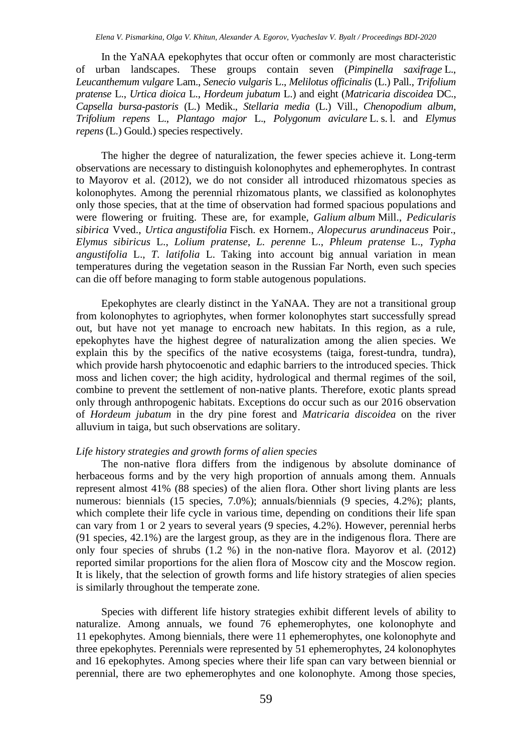In the YaNAA epekophytes that occur often or commonly are most characteristic of urban landscapes. These groups contain seven (*Pimpinella saxifrage* L., *Leucanthemum vulgare* Lam., *Senecio vulgaris* L., *Melilotus officinalis* (L.) Pall., *Trifolium pratense* L., *Urtica dioica* L., *Hordeum jubatum* L.) and eight (*Matricaria discoidea* DC., *Capsella bursa-pastoris* (L.) Medik., *Stellaria media* (L.) Vill., *Chenopodium album*, *Trifolium repens* L., *Plantago major* L., *Polygonum aviculare* L. s. l. and *Elymus repens* (L.) Gould.) species respectively.

The higher the degree of naturalization, the fewer species achieve it. Long-term observations are necessary to distinguish kolonophytes and ephemerophytes. In contrast to Mayorov et al. (2012), we do not consider all introduced rhizomatous species as kolonophytes. Among the perennial rhizomatous plants, we classified as kolonophytes only those species, that at the time of observation had formed spacious populations and were flowering or fruiting. These are, for example, *Galium album* Mill., *Pedicularis sibirica* Vved., *Urtica angustifolia* Fisch. ex Hornem., *Alopecurus arundinaceus* Poir., *Elymus sibiricus* L., *Lolium pratense*, *L. perenne* L., *Phleum pratense* L., *Typha angustifolia* L., *T. latifolia* L. Taking into account big annual variation in mean temperatures during the vegetation season in the Russian Far North, even such species can die off before managing to form stable autogenous populations.

Epekophytes are clearly distinct in the YaNAA. They are not a transitional group from kolonophytes to agriophytes, when former kolonophytes start successfully spread out, but have not yet manage to encroach new habitats. In this region, as a rule, epekophytes have the highest degree of naturalization among the alien species. We explain this by the specifics of the native ecosystems (taiga, forest-tundra, tundra), which provide harsh phytocoenotic and edaphic barriers to the introduced species. Thick moss and lichen cover; the high acidity, hydrological and thermal regimes of the soil, combine to prevent the settlement of non-native plants. Therefore, exotic plants spread only through anthropogenic habitats. Exceptions do occur such as our 2016 observation of *Hordeum jubatum* in the dry pine forest and *Matricaria discoidea* on the river alluvium in taiga, but such observations are solitary.

#### *Life history strategies and growth forms of alien species*

The non-native flora differs from the indigenous by absolute dominance of herbaceous forms and by the very high proportion of annuals among them. Annuals represent almost 41% (88 species) of the alien flora. Other short living plants are less numerous: biennials (15 species, 7.0%); annuals/biennials (9 species, 4.2%); plants, which complete their life cycle in various time, depending on conditions their life span can vary from 1 or 2 years to several years (9 species, 4.2%). However, perennial herbs (91 species, 42.1%) are the largest group, as they are in the indigenous flora. There are only four species of shrubs (1.2 %) in the non-native flora. Mayorov et al. (2012) reported similar proportions for the alien flora of Moscow city and the Moscow region. It is likely, that the selection of growth forms and life history strategies of alien species is similarly throughout the temperate zone.

Species with different life history strategies exhibit different levels of ability to naturalize. Among annuals, we found 76 ephemerophytes, one kolonophyte and 11 epekophytes. Among biennials, there were 11 ephemerophytes, one kolonophyte and three epekophytes. Perennials were represented by 51 ephemerophytes, 24 kolonophytes and 16 epekophytes. Among species where their life span can vary between biennial or perennial, there are two ephemerophytes and one kolonophyte. Among those species,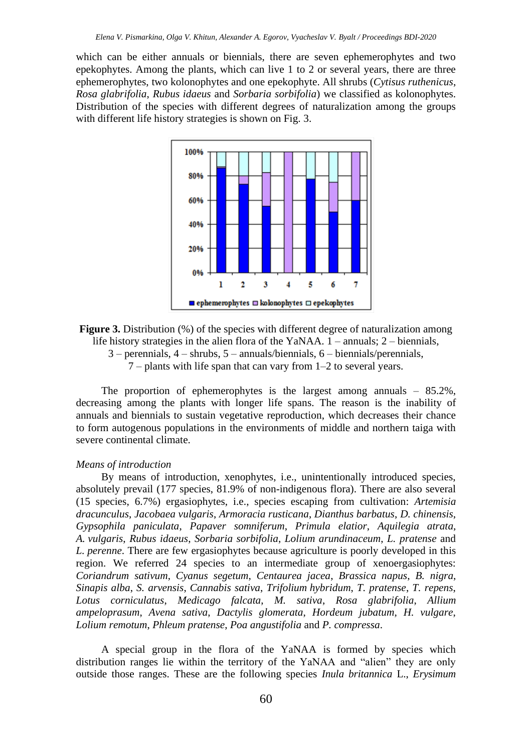which can be either annuals or biennials, there are seven ephemerophytes and two epekophytes. Among the plants, which can live 1 to 2 or several years, there are three ephemerophytes, two kolonophytes and one epekophyte. All shrubs (*Cytisus ruthenicus*, *Rosa glabrifolia*, *Rubus idaeus* and *Sorbaria sorbifolia*) we classified as kolonophytes. Distribution of the species with different degrees of naturalization among the groups with different life history strategies is shown on Fig. 3.



**Figure 3.** Distribution (%) of the species with different degree of naturalization among life history strategies in the alien flora of the YaNAA. 1 – annuals; 2 – biennials, 3 – perennials, 4 – shrubs, 5 – annuals/biennials, 6 – biennials/perennials, 7 – plants with life span that can vary from 1–2 to several years.

The proportion of ephemerophytes is the largest among annuals  $-85.2\%$ , decreasing among the plants with longer life spans. The reason is the inability of annuals and biennials to sustain vegetative reproduction, which decreases their chance to form autogenous populations in the environments of middle and northern taiga with severe continental climate.

#### *Means of introduction*

By means of introduction, xenophytes, i.e., unintentionally introduced species, absolutely prevail (177 species, 81.9% of non-indigenous flora). There are also several (15 species, 6.7%) ergasiophytes, i.e., species escaping from cultivation: *Artemisia dracunculus*, *Jacobaea vulgaris*, *Armoracia rusticana*, *Dianthus barbatus*, *D. chinensis*, *Gypsophila paniculata*, *Papaver somniferum*, *Primula elatior*, *Aquilegia atrata*, *A. vulgaris*, *Rubus idaeus*, *Sorbaria sorbifolia*, *Lolium arundinaceum*, *L. pratense* and *L. perenne*. There are few ergasiophytes because agriculture is poorly developed in this region. We referred 24 species to an intermediate group of xenoergasiophytes: *Coriandrum sativum*, *Cyanus segetum*, *Centaurea jacea*, *Brassica napus*, *B. nigra*, *Sinapis alba*, *S. arvensis*, *Cannabis sativa*, *Trifolium hybridum*, *T. pratense*, *T. repens*, *Lotus corniculatus*, *Medicago falcata*, *M. sativa*, *Rosa glabrifolia*, *Allium ampeloprasum*, *Avena sativa*, *Dactylis glomerata*, *Hordeum jubatum*, *H. vulgare*, *Lolium remotum*, *Phleum pratense*, *Poa angustifolia* and *P. compressa*.

A special group in the flora of the YaNAA is formed by species which distribution ranges lie within the territory of the YaNAA and "alien" they are only outside those ranges. These are the following species *Inula britannica* L., *Erysimum*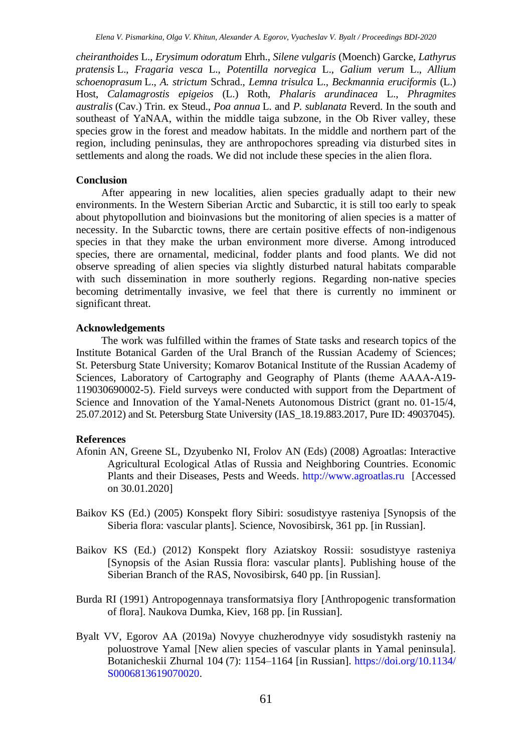*cheiranthoides* L., *Erysimum odoratum* Ehrh., *Silene vulgaris* (Moench) Garcke, *Lathyrus pratensis* L., *Fragaria vesca* L., *Potentilla norvegica* L., *Galium verum* L., *Allium schoenoprasum* L., *A. strictum* Schrad., *Lemna trisulca* L., *Beckmannia eruciformis* (L.) Host, *Calamagrostis epigeios* (L.) Roth, *Phalaris arundinacea* L., *Phragmites australis* (Cav.) Trin. ex Steud., *Poa annua* L. and *P. sublanata* Reverd. In the south and southeast of YaNAA, within the middle taiga subzone, in the Ob River valley, these species grow in the forest and meadow habitats. In the middle and northern part of the region, including peninsulas, they are anthropochores spreading via disturbed sites in settlements and along the roads. We did not include these species in the alien flora.

#### **Conclusion**

After appearing in new localities, alien species gradually adapt to their new environments. In the Western Siberian Arctic and Subarctic, it is still too early to speak about phytopollution and bioinvasions but the monitoring of alien species is a matter of necessity. In the Subarctic towns, there are certain positive effects of non-indigenous species in that they make the urban environment more diverse. Among introduced species, there are ornamental, medicinal, fodder plants and food plants. We did not observe spreading of alien species via slightly disturbed natural habitats comparable with such dissemination in more southerly regions. Regarding non-native species becoming detrimentally invasive, we feel that there is currently no imminent or significant threat.

# **Acknowledgements**

The work was fulfilled within the frames of State tasks and research topics of the Institute Botanical Garden of the Ural Branch of the Russian Academy of Sciences; St. Petersburg State University; Komarov Botanical Institute of the Russian Academy of Sciences, Laboratory of Cartography and Geography of Plants (theme АААА-А19- 119030690002-5). Field surveys were conducted with support from the Department of Science and Innovation of the Yamal-Nenets Autonomous District (grant no. 01-15/4, 25.07.2012) and St. Petersburg State University (IAS\_18.19.883.2017, Pure ID: 49037045).

# **References**

- Afonin AN, Greene SL, Dzyubenko NI, Frolov AN (Eds) (2008) Agroatlas: Interactive Agricultural Ecological Atlas of Russia and Neighboring Countries. Economic Plants and their Diseases, Pests and Weeds. [http://www.agroatlas.ru](http://www.agroatlas.ru/) [Accessed on 30.01.2020]
- Baikov KS (Ed.) (2005) Konspekt flory Sibiri: sosudistyye rasteniya [Synopsis of the Siberia flora: vascular plants]. Science, Novosibirsk, 361 pp. [in Russian].
- Baikov KS (Ed.) (2012) Konspekt flory Aziatskoy Rossii: sosudistyye rasteniya [Synopsis of the Asian Russia flora: vascular plants]. Publishing house of the Siberian Branch of the RAS, Novosibirsk, 640 pp. [in Russian].
- Burda RI (1991) Antropogennaya transformatsiya flory [Anthropogenic transformation of flora]. Naukova Dumka, Kiev, 168 pp. [in Russian].
- Byalt VV, Egorov AA (2019a) Novyye chuzherodnyye vidy sosudistykh rasteniy na poluostrove Yamal [New alien species of vascular plants in Yamal peninsula]. Botanicheskii Zhurnal 104 (7): 1154–1164 [in Russian].<https://doi.org/>[10.1134/](https://doi.org/10.1134/S0006813619070020) [S0006813619070020.](https://doi.org/10.1134/S0006813619070020)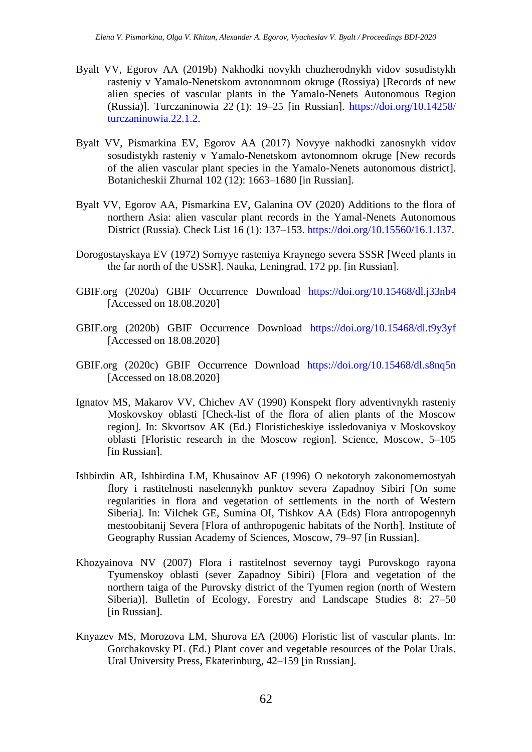- Byalt VV, Egorov AA (2019b) Nakhodki novykh chuzherodnykh vidov sosudistykh rasteniy v Yamalo-Nenetskom avtonomnom okruge (Rossiya) [Records of new alien species of vascular plants in the Yamalo-Nenets Autonomous Region (Russia)]. Turczaninowia 22 (1): 19–25 [in Russian]. [https://doi.org/10.14258/](https://doi.org/10.14258/%20turczaninowia.22.1.2)  [turczaninowia.22.1.2.](https://doi.org/10.14258/%20turczaninowia.22.1.2)
- Byalt VV, Pismarkina EV, Egorov AA (2017) Novyye nakhodki zanosnykh vidov sosudistykh rasteniy v Yamalo-Nenetskom avtonomnom okruge [New records of the alien vascular plant species in the Yamalo-Nenets autonomous district]. Botanicheskii Zhurnal 102 (12): 1663–1680 [in Russian].
- Byalt VV, Egorov AA, Pismarkina EV, Galanina OV (2020) Additions to the flora of northern Asia: alien vascular plant records in the Yamal-Nenets Autonomous District (Russia). Check List 16 (1): 137–153. [https://doi.org/10.15560/16.1.137.](https://doi.org/10.15560/16.1.137)
- Dorogostayskaya EV (1972) Sornyye rasteniya Kraynego severa SSSR [Weed plants in the far north of the USSR]. Nauka, Leningrad, 172 pp. [in Russian].
- GBIF.org (2020a) GBIF Occurrence Download <https://doi.org/10.15468/dl.j33nb4> [Accessed on 18.08.2020]
- GBIF.org (2020b) GBIF Occurrence Download <https://doi.org/10.15468/dl.t9y3yf> [Accessed on 18.08.2020]
- GBIF.org (2020c) GBIF Occurrence Download <https://doi.org/10.15468/dl.s8nq5n> [Accessed on 18.08.2020]
- Ignatov MS, Makarov VV, Chichev AV (1990) Konspekt flory adventivnykh rasteniy Moskovskoy oblasti [Check-list of the flora of alien plants of the Moscow region]. In: Skvortsov AK (Ed.) Floristicheskiye issledovaniya v Moskovskoy oblasti [Floristic research in the Moscow region]. Science, Moscow, 5–105 [in Russian].
- Ishbirdin AR, Ishbirdina LM, Khusainov AF (1996) O nekotoryh zakonomernostyah flory i rastitelnosti naselennykh punktov severa Zapadnoy Sibiri [On some regularities in flora and vegetation of settlements in the north of Western Siberia]. In: Vilchek GE, Sumina OI, Tishkov AA (Eds) Flora antropogennyh mestoobitanij Severa [Flora of anthropogenic habitats of the North]. Institute of Geography Russian Academy of Sciences, Moscow, 79–97 [in Russian].
- Khozyainova NV (2007) Flora i rastitelnost severnoy taygi Purovskogo rayona Tyumenskoy oblasti (sever Zapadnoy Sibiri) [Flora and vegetation of the northern taiga of the Purovsky district of the Tyumen region (north of Western Siberia)]. Bulletin of Ecology, Forestry and Landscape Studies 8: 27–50 [in Russian].
- Knyazev MS, Morozova LM, Shurova EA (2006) Floristic list of vascular plants. In: Gorchakovsky PL (Ed.) Plant cover and vegetable resources of the Polar Urals. Ural University Press, Ekaterinburg, 42–159 [in Russian].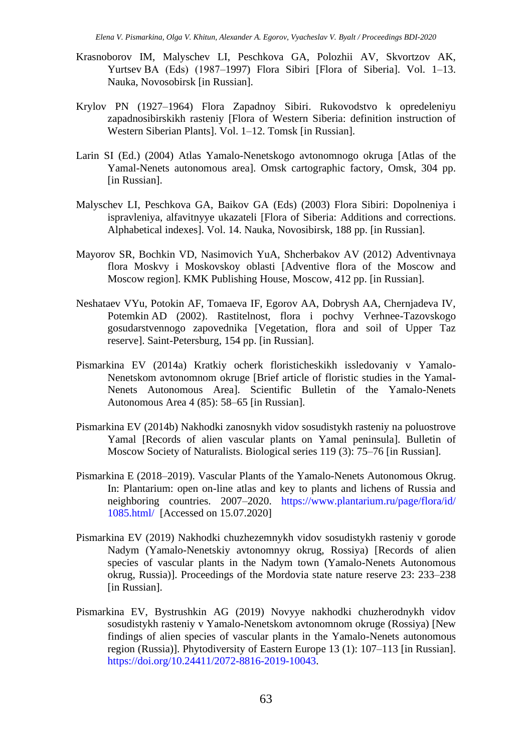- Krasnoborov IM, Malyschev LI, Peschkova GA, Polozhii AV, Skvortzov AK, Yurtsev ВA (Eds) (1987–1997) Flora Sibiri [Flora of Siberia]. Vol. 1–13. Nauka, Novosobirsk [in Russian].
- Krylov PN (1927–1964) Flora Zapadnoy Sibiri. Rukovodstvo k opredeleniyu zapadnosibirskikh rasteniy [Flora of Western Siberia: definition instruction of Western Siberian Plants]. Vol. 1–12. Tomsk [in Russian].
- Larin SI (Ed.) (2004) Atlas Yamalo-Nenetskogo avtonomnogo okruga [Atlas of the Yamal-Nenets autonomous area]. Omsk cartographic factory, Omsk, 304 pp. [in Russian].
- Malyschev LI, Peschkova GA, Baikov GA (Eds) (2003) Flora Sibiri: Dopolneniya i ispravleniya, alfavitnyye ukazateli [Flora of Siberia: Additions and corrections. Alphabetical indexes]. Vol. 14. Nauka, Novosibirsk, 188 pp. [in Russian].
- Mayorov SR, Bochkin VD, Nasimovich YuA, Shcherbakov AV (2012) Adventivnaya flora Moskvy i Moskovskoy oblasti [Adventive flora of the Moscow and Moscow region]. KMK Publishing House, Moscow, 412 pp. [in Russian].
- Neshataev VYu, Potokin AF, Tomaeva IF, Egorov AA, Dobrysh AA, Chernjadeva IV, Potemkin AD (2002). Rastitelnost, flora i pochvy Verhnee-Tazovskogo gosudarstvennogo zapovednika [Vegetation, flora and soil of Upper Taz reserve]. Saint-Petersburg, 154 pp. [in Russian].
- Pismarkina EV (2014a) Kratkiy ocherk floristicheskikh issledovaniy v Yamalo-Nenetskom avtonomnom okruge [Brief article of floristic studies in the Yamal-Nenets Autonomous Area]. Scientific Bulletin of the Yamalo-Nenets Autonomous Area 4 (85): 58–65 [in Russian].
- Pismarkina EV (2014b) Nakhodki zanosnykh vidov sosudistykh rasteniy na poluostrove Yamal [Records of alien vascular plants on Yamal peninsula]. Bulletin of Moscow Society of Naturalists. Biological series 119 (3): 75–76 [in Russian].
- Pismarkina E (2018–2019). Vascular Plants of the Yamalo-Nenets Autonomous Okrug. In: Plantarium: open on-line atlas and key to plants and lichens of Russia and neighboring countries. 2007–2020. [https://www.plantarium.ru/page/flora/id/](https://www.plantarium.ru/page/flora/id/%201085.html/)  [1085.html/](https://www.plantarium.ru/page/flora/id/%201085.html/) [Accessed on 15.07.2020]
- Pismarkina EV (2019) Nakhodki chuzhezemnykh vidov sosudistykh rasteniy v gorode Nadym (Yamalo-Nenetskiy avtonomnyy okrug, Rossiya) [Records of alien species of vascular plants in the Nadym town (Yamalo-Nenets Autonomous okrug, Russia)]. Proceedings of the Mordovia state nature reserve 23: 233–238 [in Russian].
- Pismarkina EV, Bystrushkin AG (2019) Novyye nakhodki chuzherodnykh vidov sosudistykh rasteniy v Yamalo-Nenetskom avtonomnom okruge (Rossiya) [New findings of alien species of vascular plants in the Yamalo-Nenets autonomous region (Russia)]. Phytodiversity of Eastern Europe 13 (1): 107–113 [in Russian]. [https://doi.org/10.24411/2072-8816-2019-10043.](https://doi.org/10.24411/2072-8816-2019-10043)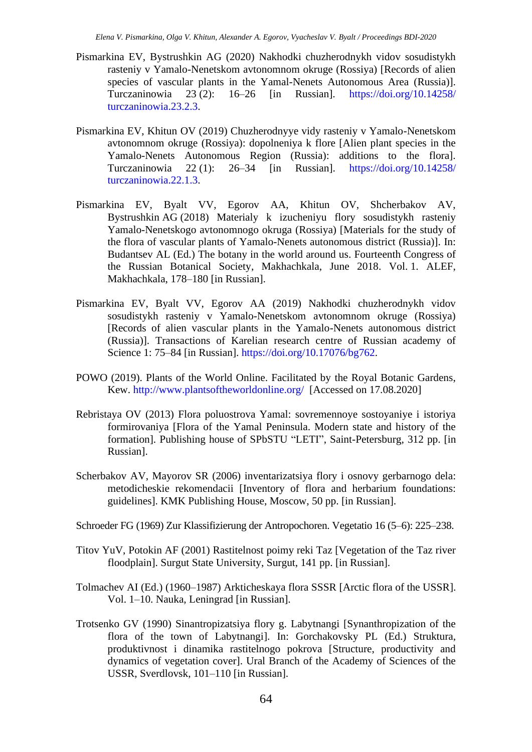- Pismarkina EV, Bystrushkin AG (2020) Nakhodki chuzherodnykh vidov sosudistykh rasteniy v Yamalo-Nenetskom avtonomnom okruge (Rossiya) [Records of alien species of vascular plants in the Yamal-Nenets Autonomous Area (Russia)]. Turczaninowia 23 (2): 16–26 [in Russian]. [https://doi.org/10.14258/](https://doi.org/10.14258/%20turczaninowia.23.2.3)  [turczaninowia.23.2.3.](https://doi.org/10.14258/%20turczaninowia.23.2.3)
- Pismarkina EV, Khitun OV (2019) Chuzherodnyye vidy rasteniy v Yamalo-Nenetskom avtonomnom okruge (Rossiya): dopolneniya k flore [Alien plant species in the Yamalo-Nenets Autonomous Region (Russia): additions to the flora]. Turczaninowia 22 (1): 26–34 [in Russian]. [https://doi.org/10.14258/](https://doi.org/10.14258/%20turczaninowia.22.1.3)  [turczaninowia.22.1.3.](https://doi.org/10.14258/%20turczaninowia.22.1.3)
- Pismarkina EV, Byalt VV, Egorov AA, Khitun OV, Shcherbakov AV, Bystrushkin AG (2018) Materialy k izucheniyu flory sosudistykh rasteniy Yamalo-Nenetskogo avtonomnogo okruga (Rossiya) [Materials for the study of the flora of vascular plants of Yamalo-Nenets autonomous district (Russia)]. In: Budantsev AL (Ed.) The botany in the world around us. Fourteenth Congress of the Russian Botanical Society, Makhachkala, June 2018. Vol. 1. ALEF, Makhachkala, 178–180 [in Russian].
- Pismarkina EV, Byalt VV, Egorov AA (2019) Nakhodki chuzherodnykh vidov sosudistykh rasteniy v Yamalo-Nenetskom avtonomnom okruge (Rossiya) [Records of alien vascular plants in the Yamalo-Nenets autonomous district (Russia)]. Transactions of Karelian research centre of Russian academy of Science 1: 75–84 [in Russian]. [https://doi.org/10.17076/bg762.](https://doi.org/10.17076/bg762)
- POWO (2019). Plants of the World Online. Facilitated by the Royal Botanic Gardens, Kew. <http://www.plantsoftheworldonline.org/> [Accessed on 17.08.2020]
- Rebristaya OV (2013) Flora poluostrova Yamal: sovremennoye sostoyaniye i istoriya formirovaniya [Flora of the Yamal Peninsula. Modern state and history of the formation]. Publishing house of SPbSTU "LETI", Saint-Petersburg, 312 pp. [in Russian].
- Scherbakov AV, Mayorov SR (2006) inventarizatsiya flory i osnovy gerbarnogo dela: metodicheskie rekomendacii [Inventory of flora and herbarium foundations: guidelines]. KMK Publishing House, Moscow, 50 pp. [in Russian].
- Schroeder FG (1969) Zur Klassifizierung der Antropochoren. Vegetatio 16 (5–6): 225–238.
- Titov YuV, Potokin AF (2001) Rastitelnost poimy reki Taz [Vegetation of the Taz river floodplain]. Surgut State University, Surgut, 141 pp. [in Russian].
- Tolmachev AI (Ed.) (1960–1987) Arkticheskaya flora SSSR [Arctic flora of the USSR]. Vol. 1–10. Nauka, Leningrad [in Russian].
- Trotsenko GV (1990) Sinantropizatsiya flory g. Labytnangi [Synanthropization of the flora of the town of Labytnangi]. In: Gorchakovsky PL (Ed.) Struktura, produktivnost i dinamika rastitelnogo pokrova [Structure, productivity and dynamics of vegetation cover]. Ural Branch of the Academy of Sciences of the USSR, Sverdlovsk, 101–110 [in Russian].